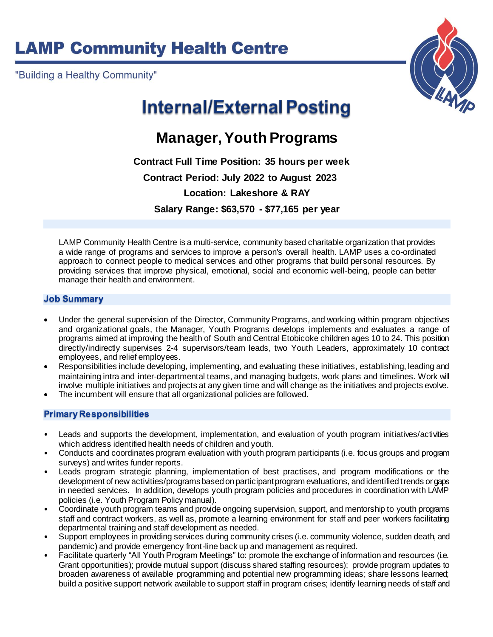# **LAMP Community Health Centre**

"Building a Healthy Community"



# **Internal/External Posting**

### **Manager, Youth Programs**

 **Contract Full Time Position: 35 hours per week Contract Period: July 2022 to August 2023 Location: Lakeshore & RAY Salary Range: \$63,570 - \$77,165 per year**

LAMP Community Health Centre is a multi-service, community based charitable organization that provides a wide range of programs and services to improve a person's overall health. LAMP uses a co-ordinated approach to connect people to medical services and other programs that build personal resources. By providing services that improve physical, emotional, social and economic well-being, people can better manage their health and environment.

#### **Job Summary**

- Under the general supervision of the Director, Community Programs, and working within program objectives and organizational goals, the Manager, Youth Programs develops implements and evaluates a range of programs aimed at improving the health of South and Central Etobicoke children ages 10 to 24. This position directly/indirectly supervises 2-4 supervisors/team leads, two Youth Leaders, approximately 10 contract employees, and relief employees.
- Responsibilities include developing, implementing, and evaluating these initiatives, establishing, leading and maintaining intra and inter-departmental teams, and managing budgets, work plans and timelines. Work will involve multiple initiatives and projects at any given time and will change as the initiatives and projects evolve.
- The incumbent will ensure that all organizational policies are followed.

### **Primary Responsibilities**

- Leads and supports the development, implementation, and evaluation of youth program initiatives/activities which address identified health needs of children and youth.
- Conducts and coordinates program evaluation with youth program participants (i.e. focus groups and program surveys) and writes funder reports.
- Leads program strategic planning, implementation of best practises, and program modifications or the development of new activities/programs based on participant program evaluations, and identified trends or gaps in needed services. In addition, develops youth program policies and procedures in coordination with LAMP policies (i.e. Youth Program Policy manual).
- Coordinate youth program teams and provide ongoing supervision, support, and mentorship to youth programs staff and contract workers, as well as, promote a learning environment for staff and peer workers facilitating departmental training and staff development as needed.
- Support employees in providing services during community crises (i.e. community violence, sudden death, and pandemic) and provide emergency front-line back up and management as required.
- Facilitate quarterly "All Youth Program Meetings" to: promote the exchange of information and resources (i.e. Grant opportunities); provide mutual support (discuss shared staffing resources); provide program updates to broaden awareness of available programming and potential new programming ideas; share lessons learned; build a positive support network available to support staff in program crises; identify learning needs of staff and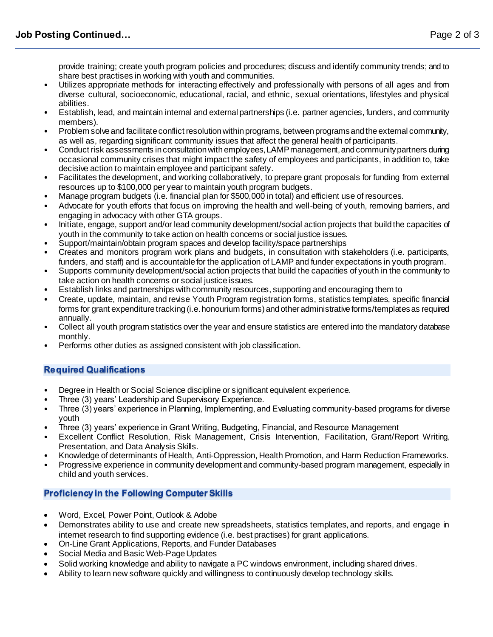provide training; create youth program policies and procedures; discuss and identify community trends; and to share best practises in working with youth and communities.

- Utilizes appropriate methods for interacting effectively and professionally with persons of all ages and from diverse cultural, socioeconomic, educational, racial, and ethnic, sexual orientations, lifestyles and physical abilities.
- Establish, lead, and maintain internal and external partnerships (i.e. partner agencies, funders, and community members).
- Problem solve and facilitate conflict resolution within programs, between programs and the external community, as well as, regarding significant community issues that affect the general health of participants.
- Conduct risk assessments in consultation with employees, LAMP management, and community partners during occasional community crises that might impact the safety of employees and participants, in addition to, take decisive action to maintain employee and participant safety.
- Facilitates the development, and working collaboratively, to prepare grant proposals for funding from external resources up to \$100,000 per year to maintain youth program budgets.
- Manage program budgets (i.e. financial plan for \$500,000 in total) and efficient use of resources.
- Advocate for youth efforts that focus on improving the health and well-being of youth, removing barriers, and engaging in advocacy with other GTA groups.
- Initiate, engage, support and/or lead community development/social action projects that build the capacities of youth in the community to take action on health concerns or social justice issues.
- Support/maintain/obtain program spaces and develop facility/space partnerships
- Creates and monitors program work plans and budgets, in consultation with stakeholders (i.e. participants, funders, and staff) and is accountable for the application of LAMP and funder expectations in youth program.
- Supports community development/social action projects that build the capacities of youth in the community to take action on health concerns or social justice issues.
- Establish links and partnerships with community resources, supporting and encouraging them to
- Create, update, maintain, and revise Youth Program registration forms, statistics templates, specific financial forms for grant expenditure tracking (i.e. honourium forms) and other administrative forms/templates as required annually.
- Collect all youth program statistics over the year and ensure statistics are entered into the mandatory database monthly.
- Performs other duties as assigned consistent with job classification.

### **Required Qualifications**

- Degree in Health or Social Science discipline or significant equivalent experience.
- Three (3) years' Leadership and Supervisory Experience.
- Three (3) years' experience in Planning, Implementing, and Evaluating community-based programs for diverse youth
- Three (3) years' experience in Grant Writing, Budgeting, Financial, and Resource Management
- Excellent Conflict Resolution, Risk Management, Crisis Intervention, Facilitation, Grant/Report Writing, Presentation, and Data Analysis Skills.
- Knowledge of determinants of Health, Anti-Oppression, Health Promotion, and Harm Reduction Frameworks.
- Progressive experience in community development and community-based program management, especially in child and youth services.

### **Proficiency in the Following Computer Skills**

- Word, Excel, Power Point, Outlook & Adobe
- Demonstrates ability to use and create new spreadsheets, statistics templates, and reports, and engage in internet research to find supporting evidence (i.e. best practises) for grant applications.
- On-Line Grant Applications, Reports, and Funder Databases
- Social Media and Basic Web-Page Updates
- Solid working knowledge and ability to navigate a PC windows environment, including shared drives.
- Ability to learn new software quickly and willingness to continuously develop technology skills.